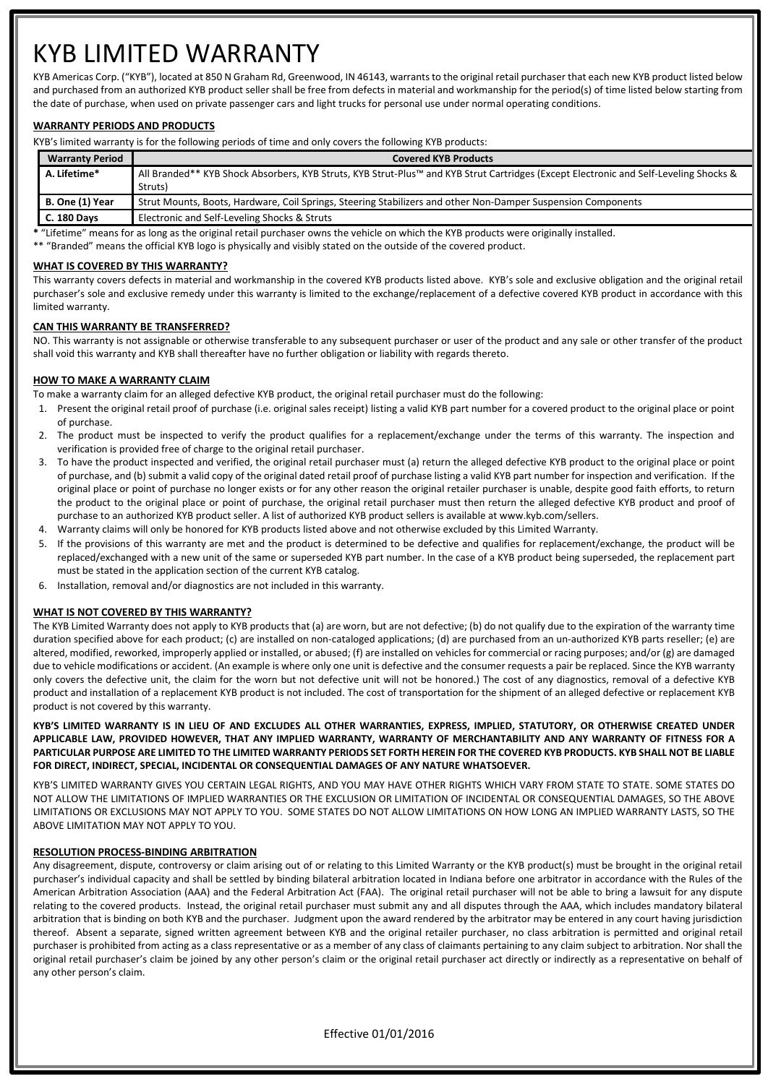# KYB LIMITED WARRANTY

KYB Americas Corp. ("KYB"), located at 850 N Graham Rd, Greenwood, IN 46143, warrants to the original retail purchaser that each new KYB product listed below and purchased from an authorized KYB product seller shall be free from defects in material and workmanship for the period(s) of time listed below starting from the date of purchase, when used on private passenger cars and light trucks for personal use under normal operating conditions.

### **WARRANTY PERIODS AND PRODUCTS**

KYB's limited warranty is for the following periods of time and only covers the following KYB products:

| <b>Warranty Period</b> | <b>Covered KYB Products</b>                                                                                                           |
|------------------------|---------------------------------------------------------------------------------------------------------------------------------------|
| A. Lifetime*           | All Branded** KYB Shock Absorbers, KYB Struts, KYB Strut-Plus™ and KYB Strut Cartridges (Except Electronic and Self-Leveling Shocks & |
|                        | Struts)                                                                                                                               |
| B. One (1) Year        | Strut Mounts, Boots, Hardware, Coil Springs, Steering Stabilizers and other Non-Damper Suspension Components                          |
| <b>C. 180 Days</b>     | Electronic and Self-Leveling Shocks & Struts                                                                                          |

**\*** "Lifetime" means for as long as the original retail purchaser owns the vehicle on which the KYB products were originally installed.

\*\* "Branded" means the official KYB logo is physically and visibly stated on the outside of the covered product.

#### **WHAT IS COVERED BY THIS WARRANTY?**

This warranty covers defects in material and workmanship in the covered KYB products listed above. KYB's sole and exclusive obligation and the original retail purchaser's sole and exclusive remedy under this warranty is limited to the exchange/replacement of a defective covered KYB product in accordance with this limited warranty.

#### **CAN THIS WARRANTY BE TRANSFERRED?**

NO. This warranty is not assignable or otherwise transferable to any subsequent purchaser or user of the product and any sale or other transfer of the product shall void this warranty and KYB shall thereafter have no further obligation or liability with regards thereto.

#### **HOW TO MAKE A WARRANTY CLAIM**

To make a warranty claim for an alleged defective KYB product, the original retail purchaser must do the following:

- 1. Present the original retail proof of purchase (i.e. original sales receipt) listing a valid KYB part number for a covered product to the original place or point of purchase.
- 2. The product must be inspected to verify the product qualifies for a replacement/exchange under the terms of this warranty. The inspection and verification is provided free of charge to the original retail purchaser.
- 3. To have the product inspected and verified, the original retail purchaser must (a) return the alleged defective KYB product to the original place or point of purchase, and (b) submit a valid copy of the original dated retail proof of purchase listing a valid KYB part number for inspection and verification. If the original place or point of purchase no longer exists or for any other reason the original retailer purchaser is unable, despite good faith efforts, to return the product to the original place or point of purchase, the original retail purchaser must then return the alleged defective KYB product and proof of purchase to an authorized KYB product seller. A list of authorized KYB product sellers is available at www.kyb.com/sellers.
- 4. Warranty claims will only be honored for KYB products listed above and not otherwise excluded by this Limited Warranty.
- 5. If the provisions of this warranty are met and the product is determined to be defective and qualifies for replacement/exchange, the product will be replaced/exchanged with a new unit of the same or superseded KYB part number. In the case of a KYB product being superseded, the replacement part must be stated in the application section of the current KYB catalog.
- 6. Installation, removal and/or diagnostics are not included in this warranty.

#### **WHAT IS NOT COVERED BY THIS WARRANTY?**

The KYB Limited Warranty does not apply to KYB products that (a) are worn, but are not defective; (b) do not qualify due to the expiration of the warranty time duration specified above for each product; (c) are installed on non-cataloged applications; (d) are purchased from an un-authorized KYB parts reseller; (e) are altered, modified, reworked, improperly applied or installed, or abused; (f) are installed on vehicles for commercial or racing purposes; and/or (g) are damaged due to vehicle modifications or accident. (An example is where only one unit is defective and the consumer requests a pair be replaced. Since the KYB warranty only covers the defective unit, the claim for the worn but not defective unit will not be honored.) The cost of any diagnostics, removal of a defective KYB product and installation of a replacement KYB product is not included. The cost of transportation for the shipment of an alleged defective or replacement KYB product is not covered by this warranty.

**KYB'S LIMITED WARRANTY IS IN LIEU OF AND EXCLUDES ALL OTHER WARRANTIES, EXPRESS, IMPLIED, STATUTORY, OR OTHERWISE CREATED UNDER APPLICABLE LAW, PROVIDED HOWEVER, THAT ANY IMPLIED WARRANTY, WARRANTY OF MERCHANTABILITY AND ANY WARRANTY OF FITNESS FOR A PARTICULAR PURPOSE ARE LIMITED TO THE LIMITED WARRANTY PERIODS SET FORTH HEREIN FOR THE COVERED KYB PRODUCTS. KYB SHALL NOT BE LIABLE FOR DIRECT, INDIRECT, SPECIAL, INCIDENTAL OR CONSEQUENTIAL DAMAGES OF ANY NATURE WHATSOEVER.** 

KYB'S LIMITED WARRANTY GIVES YOU CERTAIN LEGAL RIGHTS, AND YOU MAY HAVE OTHER RIGHTS WHICH VARY FROM STATE TO STATE. SOME STATES DO NOT ALLOW THE LIMITATIONS OF IMPLIED WARRANTIES OR THE EXCLUSION OR LIMITATION OF INCIDENTAL OR CONSEQUENTIAL DAMAGES, SO THE ABOVE LIMITATIONS OR EXCLUSIONS MAY NOT APPLY TO YOU. SOME STATES DO NOT ALLOW LIMITATIONS ON HOW LONG AN IMPLIED WARRANTY LASTS, SO THE ABOVE LIMITATION MAY NOT APPLY TO YOU.

#### **RESOLUTION PROCESS-BINDING ARBITRATION**

Any disagreement, dispute, controversy or claim arising out of or relating to this Limited Warranty or the KYB product(s) must be brought in the original retail purchaser's individual capacity and shall be settled by binding bilateral arbitration located in Indiana before one arbitrator in accordance with the Rules of the American Arbitration Association (AAA) and the Federal Arbitration Act (FAA). The original retail purchaser will not be able to bring a lawsuit for any dispute relating to the covered products. Instead, the original retail purchaser must submit any and all disputes through the AAA, which includes mandatory bilateral arbitration that is binding on both KYB and the purchaser. Judgment upon the award rendered by the arbitrator may be entered in any court having jurisdiction thereof. Absent a separate, signed written agreement between KYB and the original retailer purchaser, no class arbitration is permitted and original retail purchaser is prohibited from acting as a class representative or as a member of any class of claimants pertaining to any claim subject to arbitration. Nor shall the original retail purchaser's claim be joined by any other person's claim or the original retail purchaser act directly or indirectly as a representative on behalf of any other person's claim.

Effective 01/01/2016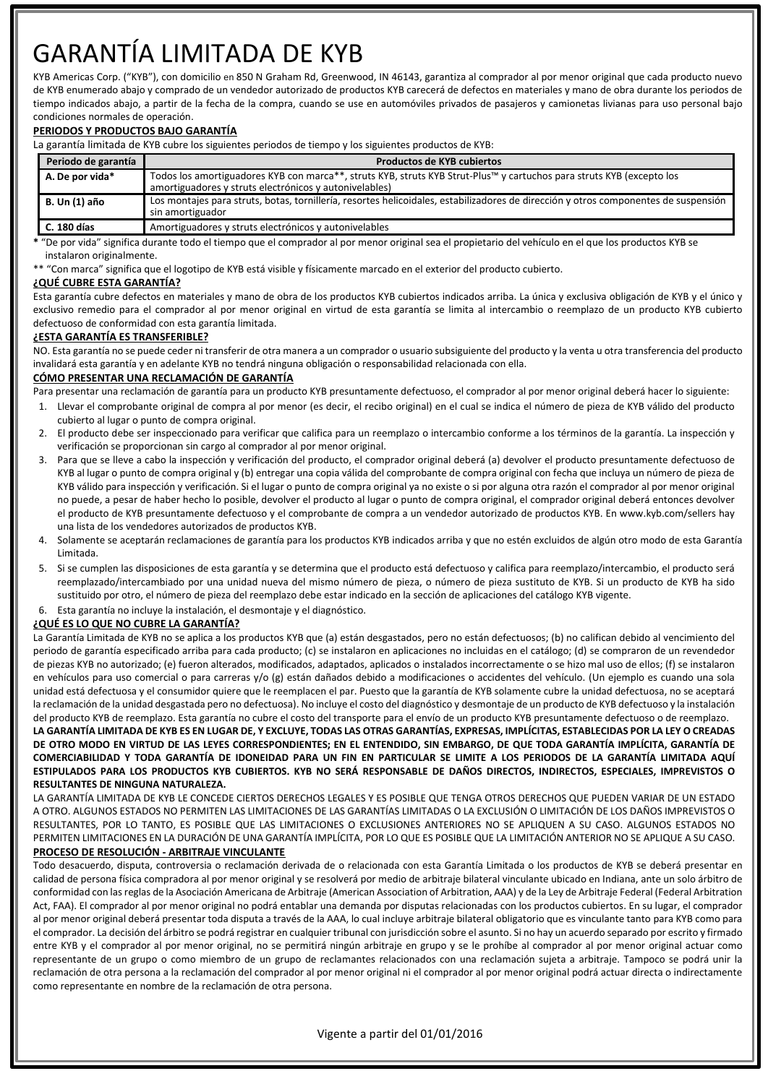# GARANTÍA LIMITADA DE KYB

KYB Americas Corp. ("KYB"), con domicilio en 850 N Graham Rd, Greenwood, IN 46143, garantiza al comprador al por menor original que cada producto nuevo de KYB enumerado abajo y comprado de un vendedor autorizado de productos KYB carecerá de defectos en materiales y mano de obra durante los periodos de tiempo indicados abajo, a partir de la fecha de la compra, cuando se use en automóviles privados de pasajeros y camionetas livianas para uso personal bajo condiciones normales de operación.

#### **PERIODOS Y PRODUCTOS BAJO GARANTÍA**

La garantía limitada de KYB cubre los siguientes periodos de tiempo y los siguientes productos de KYB:

| Periodo de garantía  | <b>Productos de KYB cubiertos</b>                                                                                                                                               |
|----------------------|---------------------------------------------------------------------------------------------------------------------------------------------------------------------------------|
| A. De por vida*      | Todos los amortiguadores KYB con marca**, struts KYB, struts KYB Strut-Plus™ y cartuchos para struts KYB (excepto los<br>amortiguadores y struts electrónicos y autonivelables) |
| <b>B. Un (1) año</b> | Los montajes para struts, botas, tornillería, resortes helicoidales, estabilizadores de dirección y otros componentes de suspensión<br>sin amortiguador                         |
| C. 180 días          | Amortiguadores y struts electrónicos y autonivelables                                                                                                                           |

**\*** "De por vida" significa durante todo el tiempo que el comprador al por menor original sea el propietario del vehículo en el que los productos KYB se instalaron originalmente.

\*\* "Con marca" significa que el logotipo de KYB está visible y físicamente marcado en el exterior del producto cubierto.

#### **¿QUÉ CUBRE ESTA GARANTÍA?**

Esta garantía cubre defectos en materiales y mano de obra de los productos KYB cubiertos indicados arriba. La única y exclusiva obligación de KYB y el único y exclusivo remedio para el comprador al por menor original en virtud de esta garantía se limita al intercambio o reemplazo de un producto KYB cubierto defectuoso de conformidad con esta garantía limitada.

#### **¿ESTA GARANTÍA ES TRANSFERIBLE?**

NO. Esta garantía no se puede ceder ni transferir de otra manera a un comprador o usuario subsiguiente del producto y la venta u otra transferencia del producto invalidará esta garantía y en adelante KYB no tendrá ninguna obligación o responsabilidad relacionada con ella.

#### **CÓMO PRESENTAR UNA RECLAMACIÓN DE GARANTÍA**

Para presentar una reclamación de garantía para un producto KYB presuntamente defectuoso, el comprador al por menor original deberá hacer lo siguiente:

- 1. Llevar el comprobante original de compra al por menor (es decir, el recibo original) en el cual se indica el número de pieza de KYB válido del producto cubierto al lugar o punto de compra original.
- 2. El producto debe ser inspeccionado para verificar que califica para un reemplazo o intercambio conforme a los términos de la garantía. La inspección y verificación se proporcionan sin cargo al comprador al por menor original.
- 3. Para que se lleve a cabo la inspección y verificación del producto, el comprador original deberá (a) devolver el producto presuntamente defectuoso de KYB al lugar o punto de compra original y (b) entregar una copia válida del comprobante de compra original con fecha que incluya un número de pieza de KYB válido para inspección y verificación. Si el lugar o punto de compra original ya no existe o si por alguna otra razón el comprador al por menor original no puede, a pesar de haber hecho lo posible, devolver el producto al lugar o punto de compra original, el comprador original deberá entonces devolver el producto de KYB presuntamente defectuoso y el comprobante de compra a un vendedor autorizado de productos KYB. En www.kyb.com/sellers hay una lista de los vendedores autorizados de productos KYB.
- 4. Solamente se aceptarán reclamaciones de garantía para los productos KYB indicados arriba y que no estén excluidos de algún otro modo de esta Garantía Limitada.
- 5. Si se cumplen las disposiciones de esta garantía y se determina que el producto está defectuoso y califica para reemplazo/intercambio, el producto será reemplazado/intercambiado por una unidad nueva del mismo número de pieza, o número de pieza sustituto de KYB. Si un producto de KYB ha sido sustituido por otro, el número de pieza del reemplazo debe estar indicado en la sección de aplicaciones del catálogo KYB vigente.
- 6. Esta garantía no incluye la instalación, el desmontaje y el diagnóstico.

#### **¿QUÉ ES LO QUE NO CUBRE LA GARANTÍA?**

La Garantía Limitada de KYB no se aplica a los productos KYB que (a) están desgastados, pero no están defectuosos; (b) no califican debido al vencimiento del periodo de garantía especificado arriba para cada producto; (c) se instalaron en aplicaciones no incluidas en el catálogo; (d) se compraron de un revendedor de piezas KYB no autorizado; (e) fueron alterados, modificados, adaptados, aplicados o instalados incorrectamente o se hizo mal uso de ellos; (f) se instalaron en vehículos para uso comercial o para carreras y/o (g) están dañados debido a modificaciones o accidentes del vehículo. (Un ejemplo es cuando una sola unidad está defectuosa y el consumidor quiere que le reemplacen el par. Puesto que la garantía de KYB solamente cubre la unidad defectuosa, no se aceptará la reclamación de la unidad desgastada pero no defectuosa). No incluye el costo del diagnóstico y desmontaje de un producto de KYB defectuoso y la instalación del producto KYB de reemplazo. Esta garantía no cubre el costo del transporte para el envío de un producto KYB presuntamente defectuoso o de reemplazo. **LA GARANTÍA LIMITADA DE KYB ES EN LUGAR DE, Y EXCLUYE, TODAS LAS OTRAS GARANTÍAS, EXPRESAS, IMPLÍCITAS, ESTABLECIDAS POR LA LEY O CREADAS DE OTRO MODO EN VIRTUD DE LAS LEYES CORRESPONDIENTES; EN EL ENTENDIDO, SIN EMBARGO, DE QUE TODA GARANTÍA IMPLÍCITA, GARANTÍA DE** 

**COMERCIABILIDAD Y TODA GARANTÍA DE IDONEIDAD PARA UN FIN EN PARTICULAR SE LIMITE A LOS PERIODOS DE LA GARANTÍA LIMITADA AQUÍ ESTIPULADOS PARA LOS PRODUCTOS KYB CUBIERTOS. KYB NO SERÁ RESPONSABLE DE DAÑOS DIRECTOS, INDIRECTOS, ESPECIALES, IMPREVISTOS O RESULTANTES DE NINGUNA NATURALEZA.** 

LA GARANTÍA LIMITADA DE KYB LE CONCEDE CIERTOS DERECHOS LEGALES Y ES POSIBLE QUE TENGA OTROS DERECHOS QUE PUEDEN VARIAR DE UN ESTADO A OTRO. ALGUNOS ESTADOS NO PERMITEN LAS LIMITACIONES DE LAS GARANTÍAS LIMITADAS O LA EXCLUSIÓN O LIMITACIÓN DE LOS DAÑOS IMPREVISTOS O RESULTANTES, POR LO TANTO, ES POSIBLE QUE LAS LIMITACIONES O EXCLUSIONES ANTERIORES NO SE APLIQUEN A SU CASO. ALGUNOS ESTADOS NO PERMITEN LIMITACIONES EN LA DURACIÓN DE UNA GARANTÍA IMPLÍCITA, POR LO QUE ES POSIBLE QUE LA LIMITACIÓN ANTERIOR NO SE APLIQUE A SU CASO.

## **PROCESO DE RESOLUCIÓN - ARBITRAJE VINCULANTE**

Todo desacuerdo, disputa, controversia o reclamación derivada de o relacionada con esta Garantía Limitada o los productos de KYB se deberá presentar en calidad de persona física compradora al por menor original y se resolverá por medio de arbitraje bilateral vinculante ubicado en Indiana, ante un solo árbitro de conformidad con las reglas de la Asociación Americana de Arbitraje (American Association of Arbitration, AAA) y de la Ley de Arbitraje Federal (Federal Arbitration Act, FAA). El comprador al por menor original no podrá entablar una demanda por disputas relacionadas con los productos cubiertos. En su lugar, el comprador al por menor original deberá presentar toda disputa a través de la AAA, lo cual incluye arbitraje bilateral obligatorio que es vinculante tanto para KYB como para el comprador. La decisión del árbitro se podrá registrar en cualquier tribunal con jurisdicción sobre el asunto. Si no hay un acuerdo separado por escrito y firmado entre KYB y el comprador al por menor original, no se permitirá ningún arbitraje en grupo y se le prohíbe al comprador al por menor original actuar como representante de un grupo o como miembro de un grupo de reclamantes relacionados con una reclamación sujeta a arbitraje. Tampoco se podrá unir la reclamación de otra persona a la reclamación del comprador al por menor original ni el comprador al por menor original podrá actuar directa o indirectamente como representante en nombre de la reclamación de otra persona.